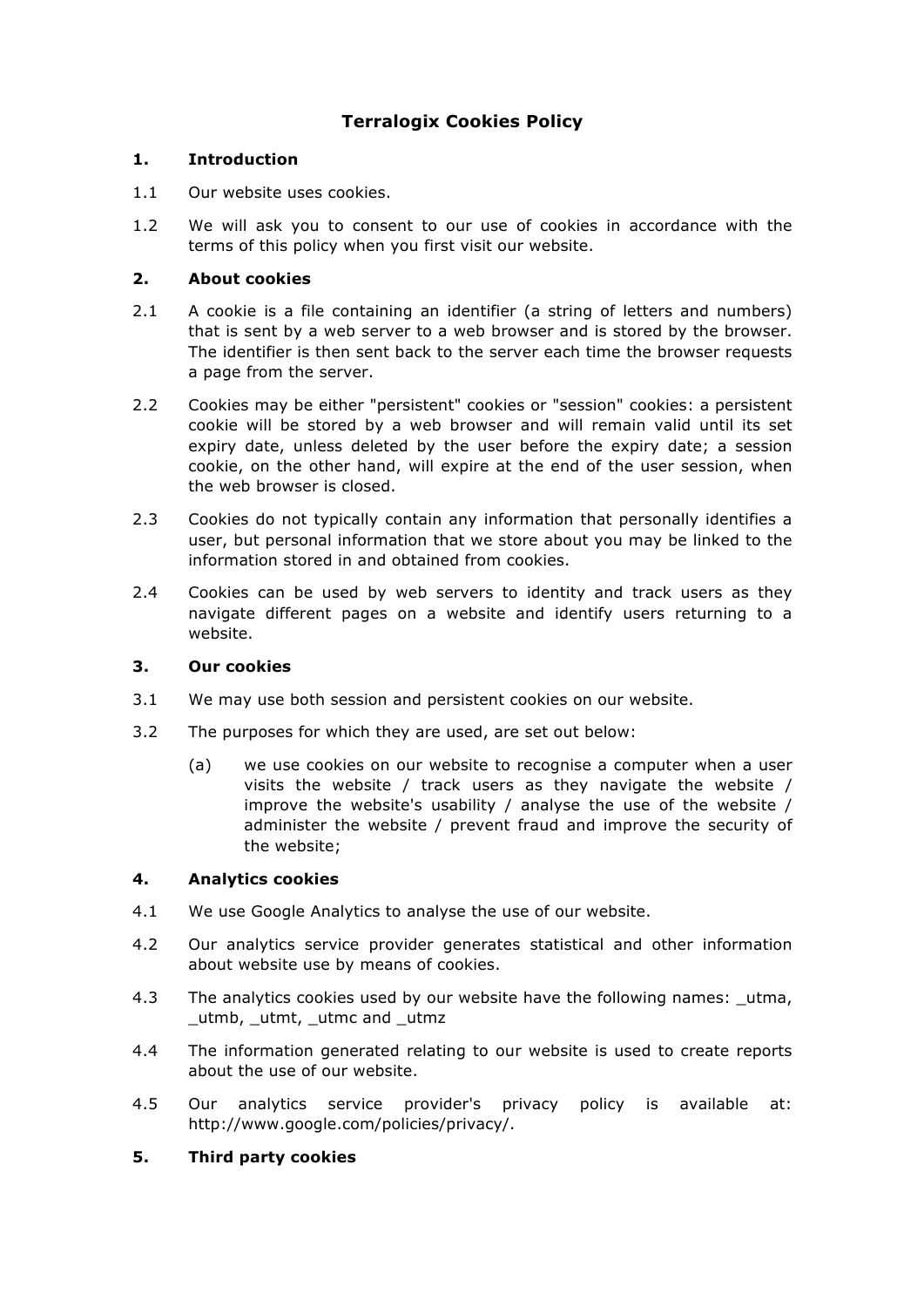# **Terralogix Cookies Policy**

# **1. Introduction**

- 1.1 Our website uses cookies.
- 1.2 We will ask you to consent to our use of cookies in accordance with the terms of this policy when you first visit our website.

# **2. About cookies**

- 2.1 A cookie is a file containing an identifier (a string of letters and numbers) that is sent by a web server to a web browser and is stored by the browser. The identifier is then sent back to the server each time the browser requests a page from the server.
- 2.2 Cookies may be either "persistent" cookies or "session" cookies: a persistent cookie will be stored by a web browser and will remain valid until its set expiry date, unless deleted by the user before the expiry date; a session cookie, on the other hand, will expire at the end of the user session, when the web browser is closed.
- 2.3 Cookies do not typically contain any information that personally identifies a user, but personal information that we store about you may be linked to the information stored in and obtained from cookies.
- 2.4 Cookies can be used by web servers to identity and track users as they navigate different pages on a website and identify users returning to a website.

#### **3. Our cookies**

- 3.1 We may use both session and persistent cookies on our website.
- 3.2 The purposes for which they are used, are set out below:
	- (a) we use cookies on our website to recognise a computer when a user visits the website / track users as they navigate the website / improve the website's usability / analyse the use of the website / administer the website / prevent fraud and improve the security of the website;

#### **4. Analytics cookies**

- 4.1 We use Google Analytics to analyse the use of our website.
- 4.2 Our analytics service provider generates statistical and other information about website use by means of cookies.
- 4.3 The analytics cookies used by our website have the following names: utma, \_utmb, \_utmt, \_utmc and \_utmz
- 4.4 The information generated relating to our website is used to create reports about the use of our website.
- 4.5 Our analytics service provider's privacy policy is available at: http://www.google.com/policies/privacy/.

# **5. Third party cookies**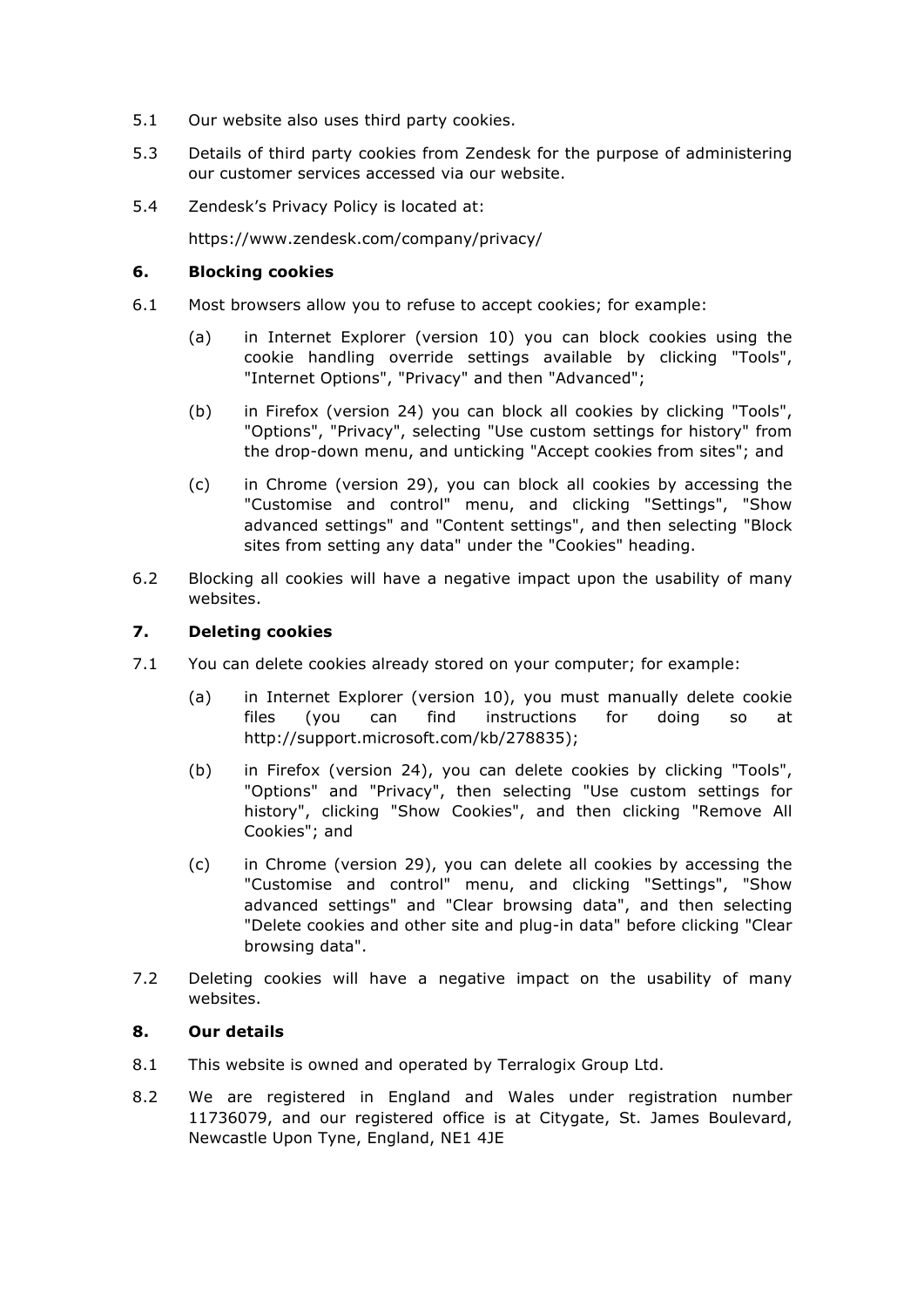- 5.1 Our website also uses third party cookies.
- 5.3 Details of third party cookies from Zendesk for the purpose of administering our customer services accessed via our website.
- 5.4 Zendesk's Privacy Policy is located at:

https://www.zendesk.com/company/privacy/

## **6. Blocking cookies**

- 6.1 Most browsers allow you to refuse to accept cookies; for example:
	- (a) in Internet Explorer (version 10) you can block cookies using the cookie handling override settings available by clicking "Tools", "Internet Options", "Privacy" and then "Advanced";
	- (b) in Firefox (version 24) you can block all cookies by clicking "Tools", "Options", "Privacy", selecting "Use custom settings for history" from the drop-down menu, and unticking "Accept cookies from sites"; and
	- (c) in Chrome (version 29), you can block all cookies by accessing the "Customise and control" menu, and clicking "Settings", "Show advanced settings" and "Content settings", and then selecting "Block sites from setting any data" under the "Cookies" heading.
- 6.2 Blocking all cookies will have a negative impact upon the usability of many websites.

## **7. Deleting cookies**

- 7.1 You can delete cookies already stored on your computer; for example:
	- (a) in Internet Explorer (version 10), you must manually delete cookie files (you can find instructions for doing so at http://support.microsoft.com/kb/278835);
	- (b) in Firefox (version 24), you can delete cookies by clicking "Tools", "Options" and "Privacy", then selecting "Use custom settings for history", clicking "Show Cookies", and then clicking "Remove All Cookies"; and
	- (c) in Chrome (version 29), you can delete all cookies by accessing the "Customise and control" menu, and clicking "Settings", "Show advanced settings" and "Clear browsing data", and then selecting "Delete cookies and other site and plug-in data" before clicking "Clear browsing data".
- 7.2 Deleting cookies will have a negative impact on the usability of many websites.

## **8. Our details**

- 8.1 This website is owned and operated by Terralogix Group Ltd.
- 8.2 We are registered in England and Wales under registration number 11736079, and our registered office is at Citygate, St. James Boulevard, Newcastle Upon Tyne, England, NE1 4JE